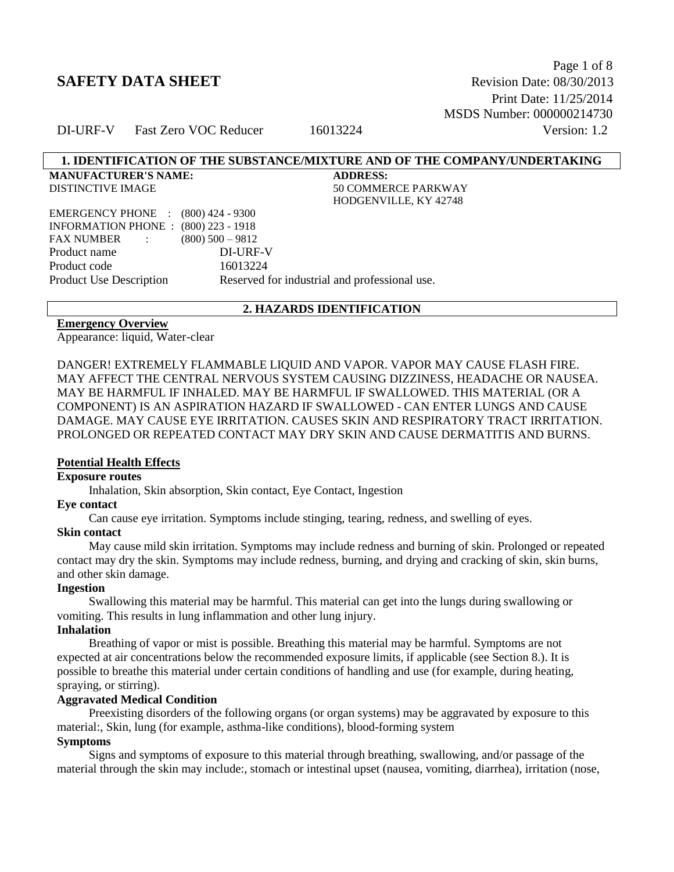Page 1 of 8 **SAFETY DATA SHEET** Revision Date: 08/30/2013 Print Date: 11/25/2014 MSDS Number: 000000214730

DI-URF-V Fast Zero VOC Reducer 16013224 Version: 1.2

#### **1. IDENTIFICATION OF THE SUBSTANCE/MIXTURE AND OF THE COMPANY/UNDERTAKING MANUFACTURER'S NAME: ADDRESS:**

| минустиетомско глина.                       |          | , , , , , , , , , , , , , , , ,               |
|---------------------------------------------|----------|-----------------------------------------------|
| DISTINCTIVE IMAGE                           |          | <b>50 COMMERCE PARKWAY</b>                    |
|                                             |          | HODGENVILLE, KY 42748                         |
| EMERGENCY PHONE : (800) 424 - 9300          |          |                                               |
| <b>INFORMATION PHONE : (800) 223 - 1918</b> |          |                                               |
| FAX NUMBER : (800) 500 - 9812               |          |                                               |
| Product name                                | DI-URF-V |                                               |
| Product code                                | 16013224 |                                               |
| <b>Product Use Description</b>              |          | Reserved for industrial and professional use. |
|                                             |          |                                               |

#### **2. HAZARDS IDENTIFICATION**

## **Emergency Overview**

Appearance: liquid, Water-clear

DANGER! EXTREMELY FLAMMABLE LIQUID AND VAPOR. VAPOR MAY CAUSE FLASH FIRE. MAY AFFECT THE CENTRAL NERVOUS SYSTEM CAUSING DIZZINESS, HEADACHE OR NAUSEA. MAY BE HARMFUL IF INHALED. MAY BE HARMFUL IF SWALLOWED. THIS MATERIAL (OR A COMPONENT) IS AN ASPIRATION HAZARD IF SWALLOWED - CAN ENTER LUNGS AND CAUSE DAMAGE. MAY CAUSE EYE IRRITATION. CAUSES SKIN AND RESPIRATORY TRACT IRRITATION. PROLONGED OR REPEATED CONTACT MAY DRY SKIN AND CAUSE DERMATITIS AND BURNS.

#### **Potential Health Effects**

#### **Exposure routes**

Inhalation, Skin absorption, Skin contact, Eye Contact, Ingestion

#### **Eye contact**

Can cause eye irritation. Symptoms include stinging, tearing, redness, and swelling of eyes.

#### **Skin contact**

 May cause mild skin irritation. Symptoms may include redness and burning of skin. Prolonged or repeated contact may dry the skin. Symptoms may include redness, burning, and drying and cracking of skin, skin burns, and other skin damage.

### **Ingestion**

 Swallowing this material may be harmful. This material can get into the lungs during swallowing or vomiting. This results in lung inflammation and other lung injury.

## **Inhalation**

 Breathing of vapor or mist is possible. Breathing this material may be harmful. Symptoms are not expected at air concentrations below the recommended exposure limits, if applicable (see Section 8.). It is possible to breathe this material under certain conditions of handling and use (for example, during heating, spraying, or stirring).

#### **Aggravated Medical Condition**

 Preexisting disorders of the following organs (or organ systems) may be aggravated by exposure to this material:, Skin, lung (for example, asthma-like conditions), blood-forming system

#### **Symptoms**

 Signs and symptoms of exposure to this material through breathing, swallowing, and/or passage of the material through the skin may include:, stomach or intestinal upset (nausea, vomiting, diarrhea), irritation (nose,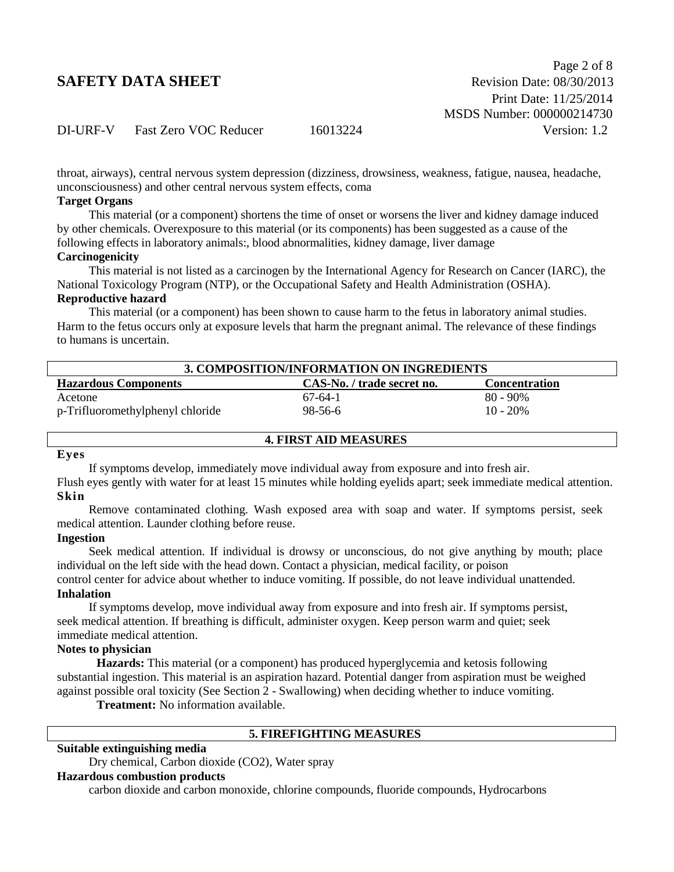DI-URF-V Fast Zero VOC Reducer 16013224 Version: 1.2

throat, airways), central nervous system depression (dizziness, drowsiness, weakness, fatigue, nausea, headache, unconsciousness) and other central nervous system effects, coma

## **Target Organs**

 This material (or a component) shortens the time of onset or worsens the liver and kidney damage induced by other chemicals. Overexposure to this material (or its components) has been suggested as a cause of the following effects in laboratory animals:, blood abnormalities, kidney damage, liver damage

## **Carcinogenicity**

This material is not listed as a carcinogen by the International Agency for Research on Cancer (IARC), the National Toxicology Program (NTP), or the Occupational Safety and Health Administration (OSHA).

## **Reproductive hazard**

 This material (or a component) has been shown to cause harm to the fetus in laboratory animal studies. Harm to the fetus occurs only at exposure levels that harm the pregnant animal. The relevance of these findings to humans is uncertain.

| 3. COMPOSITION/INFORMATION ON INGREDIENTS |                            |                      |  |
|-------------------------------------------|----------------------------|----------------------|--|
| <b>Hazardous Components</b>               | CAS-No. / trade secret no. | <b>Concentration</b> |  |
| Acetone                                   | $67-64-1$                  | $80 - 90\%$          |  |
| p-Trifluoromethylphenyl chloride          | $98 - 56 - 6$              | $10 - 20\%$          |  |

### **Eyes**

If symptoms develop, immediately move individual away from exposure and into fresh air.

Flush eyes gently with water for at least 15 minutes while holding eyelids apart; seek immediate medical attention. **Skin**

**4. FIRST AID MEASURES**

 Remove contaminated clothing. Wash exposed area with soap and water. If symptoms persist, seek medical attention. Launder clothing before reuse.

### **Ingestion**

 Seek medical attention. If individual is drowsy or unconscious, do not give anything by mouth; place individual on the left side with the head down. Contact a physician, medical facility, or poison

control center for advice about whether to induce vomiting. If possible, do not leave individual unattended. **Inhalation**

 If symptoms develop, move individual away from exposure and into fresh air. If symptoms persist, seek medical attention. If breathing is difficult, administer oxygen. Keep person warm and quiet; seek immediate medical attention.

## **Notes to physician**

**Hazards:** This material (or a component) has produced hyperglycemia and ketosis following substantial ingestion. This material is an aspiration hazard. Potential danger from aspiration must be weighed against possible oral toxicity (See Section 2 - Swallowing) when deciding whether to induce vomiting.

**Treatment:** No information available.

## **5. FIREFIGHTING MEASURES**

## **Suitable extinguishing media**

Dry chemical, Carbon dioxide (CO2), Water spray

### **Hazardous combustion products**

carbon dioxide and carbon monoxide, chlorine compounds, fluoride compounds, Hydrocarbons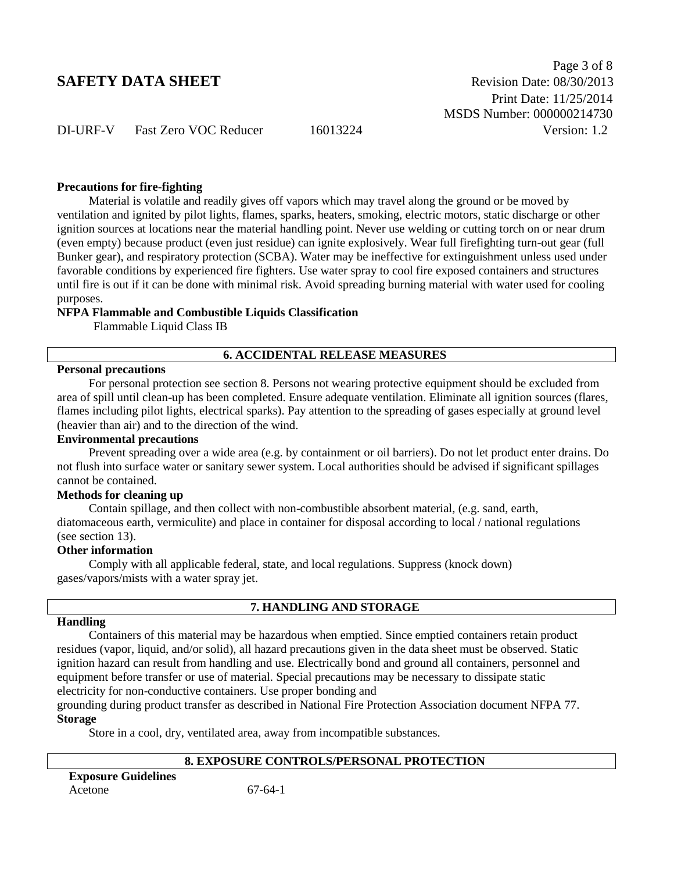Page 3 of 8 **SAFETY DATA SHEET** Revision Date: 08/30/2013 Print Date: 11/25/2014 MSDS Number: 000000214730

DI-URF-V Fast Zero VOC Reducer 16013224 Version: 1.2

### **Precautions for fire-fighting**

 Material is volatile and readily gives off vapors which may travel along the ground or be moved by ventilation and ignited by pilot lights, flames, sparks, heaters, smoking, electric motors, static discharge or other ignition sources at locations near the material handling point. Never use welding or cutting torch on or near drum (even empty) because product (even just residue) can ignite explosively. Wear full firefighting turn-out gear (full Bunker gear), and respiratory protection (SCBA). Water may be ineffective for extinguishment unless used under favorable conditions by experienced fire fighters. Use water spray to cool fire exposed containers and structures until fire is out if it can be done with minimal risk. Avoid spreading burning material with water used for cooling purposes.

#### **NFPA Flammable and Combustible Liquids Classification**

Flammable Liquid Class IB

### **6. ACCIDENTAL RELEASE MEASURES**

#### **Personal precautions**

 For personal protection see section 8. Persons not wearing protective equipment should be excluded from area of spill until clean-up has been completed. Ensure adequate ventilation. Eliminate all ignition sources (flares, flames including pilot lights, electrical sparks). Pay attention to the spreading of gases especially at ground level (heavier than air) and to the direction of the wind.

### **Environmental precautions**

 Prevent spreading over a wide area (e.g. by containment or oil barriers). Do not let product enter drains. Do not flush into surface water or sanitary sewer system. Local authorities should be advised if significant spillages cannot be contained.

#### **Methods for cleaning up**

 Contain spillage, and then collect with non-combustible absorbent material, (e.g. sand, earth, diatomaceous earth, vermiculite) and place in container for disposal according to local / national regulations (see section 13).

#### **Other information**

 Comply with all applicable federal, state, and local regulations. Suppress (knock down) gases/vapors/mists with a water spray jet.

### **7. HANDLING AND STORAGE**

#### **Handling**

 Containers of this material may be hazardous when emptied. Since emptied containers retain product residues (vapor, liquid, and/or solid), all hazard precautions given in the data sheet must be observed. Static ignition hazard can result from handling and use. Electrically bond and ground all containers, personnel and equipment before transfer or use of material. Special precautions may be necessary to dissipate static electricity for non-conductive containers. Use proper bonding and

grounding during product transfer as described in National Fire Protection Association document NFPA 77. **Storage**

Store in a cool, dry, ventilated area, away from incompatible substances.

#### **8. EXPOSURE CONTROLS/PERSONAL PROTECTION**

| <b>Exposure Guidelines</b> |  |
|----------------------------|--|
| Acetone                    |  |

 $67-64-1$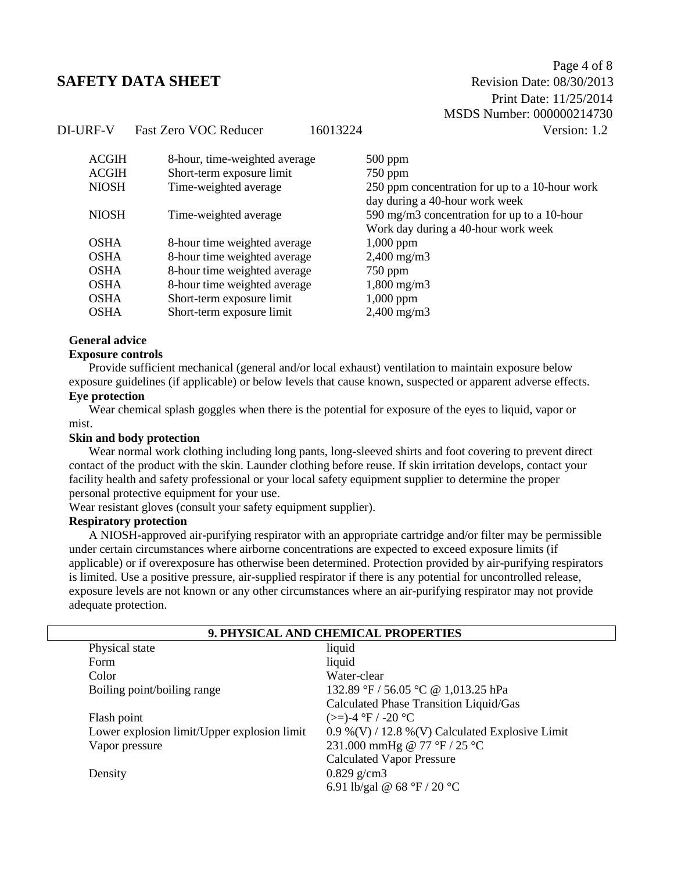Page 4 of 8 **SAFETY DATA SHEET** Revision Date: 08/30/2013 Print Date: 11/25/2014 MSDS Number: 000000214730 DI-URF-V Fast Zero VOC Reducer 16013224 Version: 1.2

| <b>ACGIH</b> | 8-hour, time-weighted average | $500$ ppm                                      |
|--------------|-------------------------------|------------------------------------------------|
| <b>ACGIH</b> | Short-term exposure limit     | $750$ ppm                                      |
| <b>NIOSH</b> | Time-weighted average         | 250 ppm concentration for up to a 10-hour work |
|              |                               | day during a 40-hour work week                 |
| <b>NIOSH</b> | Time-weighted average         | 590 mg/m3 concentration for up to a 10-hour    |
|              |                               | Work day during a 40-hour work week            |
| <b>OSHA</b>  | 8-hour time weighted average  | $1,000$ ppm                                    |
| <b>OSHA</b>  | 8-hour time weighted average  | $2,400$ mg/m $3$                               |
| <b>OSHA</b>  | 8-hour time weighted average  | $750$ ppm                                      |
| <b>OSHA</b>  | 8-hour time weighted average  | $1,800 \text{ mg/m}$                           |
| <b>OSHA</b>  | Short-term exposure limit     | $1,000$ ppm                                    |
| <b>OSHA</b>  | Short-term exposure limit     | $2,400 \text{ mg/m}$ 3                         |
|              |                               |                                                |

#### **General advice**

#### **Exposure controls**

Provide sufficient mechanical (general and/or local exhaust) ventilation to maintain exposure below exposure guidelines (if applicable) or below levels that cause known, suspected or apparent adverse effects.

## **Eye protection**

Wear chemical splash goggles when there is the potential for exposure of the eyes to liquid, vapor or mist.

#### **Skin and body protection**

 Wear normal work clothing including long pants, long-sleeved shirts and foot covering to prevent direct contact of the product with the skin. Launder clothing before reuse. If skin irritation develops, contact your facility health and safety professional or your local safety equipment supplier to determine the proper personal protective equipment for your use.

Wear resistant gloves (consult your safety equipment supplier).

## **Respiratory protection**

A NIOSH-approved air-purifying respirator with an appropriate cartridge and/or filter may be permissible under certain circumstances where airborne concentrations are expected to exceed exposure limits (if applicable) or if overexposure has otherwise been determined. Protection provided by air-purifying respirators is limited. Use a positive pressure, air-supplied respirator if there is any potential for uncontrolled release, exposure levels are not known or any other circumstances where an air-purifying respirator may not provide adequate protection.

| 9. PHYSICAL AND CHEMICAL PROPERTIES         |                                                 |  |  |
|---------------------------------------------|-------------------------------------------------|--|--|
| Physical state                              | liquid                                          |  |  |
| Form                                        | liquid                                          |  |  |
| Color                                       | Water-clear                                     |  |  |
| Boiling point/boiling range                 | 132.89 °F / 56.05 °C @ 1,013.25 hPa             |  |  |
|                                             | Calculated Phase Transition Liquid/Gas          |  |  |
| Flash point                                 | $(>=)$ -4 °F / -20 °C                           |  |  |
| Lower explosion limit/Upper explosion limit | 0.9 %(V) / 12.8 %(V) Calculated Explosive Limit |  |  |
| Vapor pressure                              | 231.000 mmHg @ 77 °F / 25 °C                    |  |  |
|                                             | <b>Calculated Vapor Pressure</b>                |  |  |
| Density                                     | $0.829$ g/cm3                                   |  |  |
|                                             | 6.91 lb/gal @ 68 °F / 20 °C                     |  |  |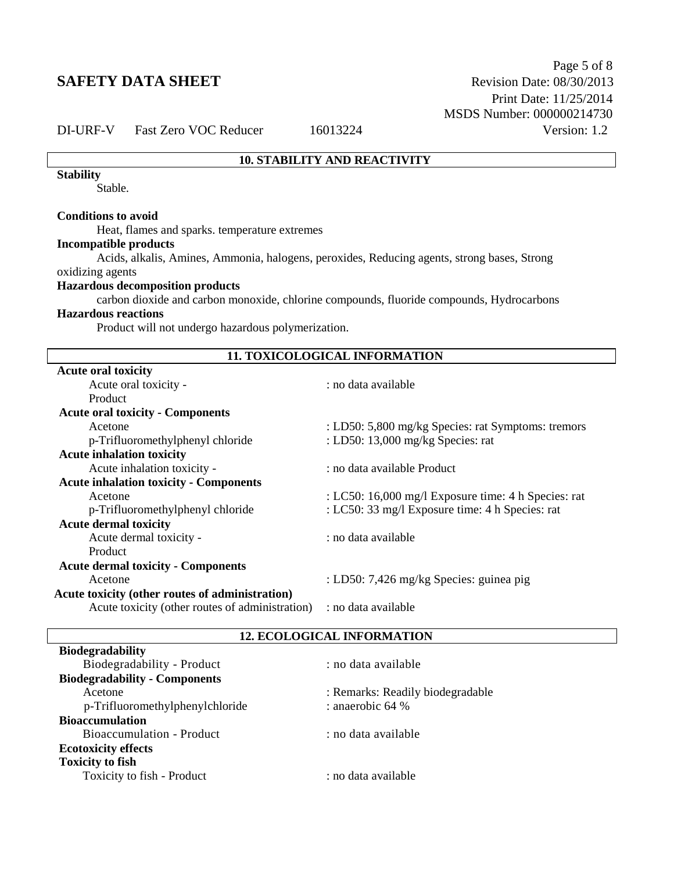Page 5 of 8 **SAFETY DATA SHEET** Revision Date: 08/30/2013 Print Date: 11/25/2014 MSDS Number: 000000214730

DI-URF-V Fast Zero VOC Reducer 16013224 Version: 1.2

#### **10. STABILITY AND REACTIVITY**

#### **Stability**

Stable.

## **Conditions to avoid**

Heat, flames and sparks. temperature extremes

### **Incompatible products**

Acids, alkalis, Amines, Ammonia, halogens, peroxides, Reducing agents, strong bases, Strong oxidizing agents

#### **Hazardous decomposition products**

carbon dioxide and carbon monoxide, chlorine compounds, fluoride compounds, Hydrocarbons

#### **Hazardous reactions**

Product will not undergo hazardous polymerization.

| <b>11. TOXICOLOGICAL INFORMATION</b>            |                                                     |  |  |
|-------------------------------------------------|-----------------------------------------------------|--|--|
| <b>Acute oral toxicity</b>                      |                                                     |  |  |
| Acute oral toxicity -                           | : no data available                                 |  |  |
| Product                                         |                                                     |  |  |
| <b>Acute oral toxicity - Components</b>         |                                                     |  |  |
| Acetone                                         | : LD50: 5,800 mg/kg Species: rat Symptoms: tremors  |  |  |
| p-Trifluoromethylphenyl chloride                | : LD50: 13,000 mg/kg Species: rat                   |  |  |
| <b>Acute inhalation toxicity</b>                |                                                     |  |  |
| Acute inhalation toxicity -                     | : no data available Product                         |  |  |
| <b>Acute inhalation toxicity - Components</b>   |                                                     |  |  |
| Acetone                                         | : LC50: 16,000 mg/l Exposure time: 4 h Species: rat |  |  |
| p-Trifluoromethylphenyl chloride                | : LC50: 33 mg/l Exposure time: 4 h Species: rat     |  |  |
| <b>Acute dermal toxicity</b>                    |                                                     |  |  |
| Acute dermal toxicity -                         | : no data available                                 |  |  |
| Product                                         |                                                     |  |  |
| <b>Acute dermal toxicity - Components</b>       |                                                     |  |  |
| Acetone                                         | : LD50: 7,426 mg/kg Species: guinea pig             |  |  |
| Acute toxicity (other routes of administration) |                                                     |  |  |
| Acute toxicity (other routes of administration) | : no data available                                 |  |  |

## **12. ECOLOGICAL INFORMATION**

| <b>Biodegradability</b>              |                                  |
|--------------------------------------|----------------------------------|
| Biodegradability - Product           | : no data available              |
| <b>Biodegradability - Components</b> |                                  |
| Acetone                              | : Remarks: Readily biodegradable |
| p-Trifluoromethylphenylchloride      | $:$ anaerobic 64 %               |
| <b>Bioaccumulation</b>               |                                  |
| Bioaccumulation - Product            | : no data available              |
| <b>Ecotoxicity effects</b>           |                                  |
| <b>Toxicity to fish</b>              |                                  |
| Toxicity to fish - Product           | : no data available              |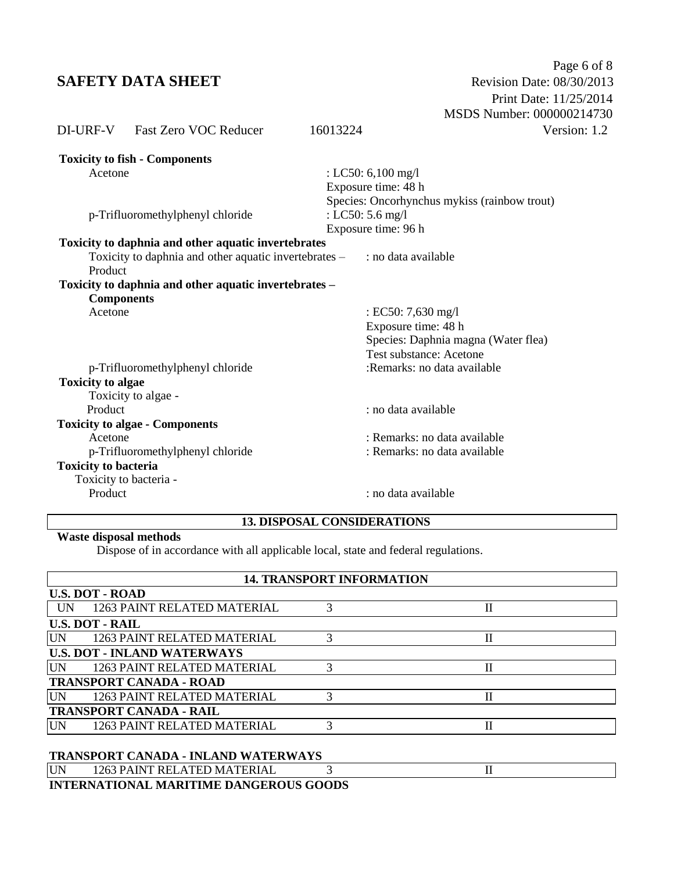Page 6 of 8 **SAFETY DATA SHEET** Revision Date: 08/30/2013 Print Date: 11/25/2014 MSDS Number: 000000214730

DI-URF-V Fast Zero VOC Reducer 16013224 Version: 1.2 **Toxicity to fish - Components** Acetone : LC50: 6,100 mg/l Exposure time: 48 h Species: Oncorhynchus mykiss (rainbow trout) p-Trifluoromethylphenyl chloride : LC50: 5.6 mg/l Exposure time: 96 h **Toxicity to daphnia and other aquatic invertebrates** Toxicity to daphnia and other aquatic invertebrates  $-$  : no data available Product **Toxicity to daphnia and other aquatic invertebrates – Components** Acetone : EC50: 7,630 mg/l Exposure time: 48 h Species: Daphnia magna (Water flea) Test substance: Acetone p-Trifluoromethylphenyl chloride :Remarks: no data available **Toxicity to algae** Toxicity to algae - Product : no data available : no data available **Toxicity to algae - Components** Acetone : Remarks: no data available p-Trifluoromethylphenyl chloride : Remarks: no data available **Toxicity to bacteria** Toxicity to bacteria - Product : no data available : no data available

## **13. DISPOSAL CONSIDERATIONS**

#### **Waste disposal methods**

Dispose of in accordance with all applicable local, state and federal regulations.

| <b>14. TRANSPORT INFORMATION</b> |                                    |  |          |  |  |
|----------------------------------|------------------------------------|--|----------|--|--|
|                                  | <b>U.S. DOT - ROAD</b>             |  |          |  |  |
| UN                               | 1263 PAINT RELATED MATERIAL        |  | $\rm II$ |  |  |
| <b>U.S. DOT - RAIL</b>           |                                    |  |          |  |  |
| UN                               | <b>1263 PAINT RELATED MATERIAL</b> |  |          |  |  |
|                                  | <b>U.S. DOT - INLAND WATERWAYS</b> |  |          |  |  |
| <b>UN</b>                        | 1263 PAINT RELATED MATERIAL        |  |          |  |  |
| <b>TRANSPORT CANADA - ROAD</b>   |                                    |  |          |  |  |
| <b>UN</b>                        | 1263 PAINT RELATED MATERIAL        |  | П        |  |  |
| <b>TRANSPORT CANADA - RAIL</b>   |                                    |  |          |  |  |
| <b>UN</b>                        | <b>1263 PAINT RELATED MATERIAL</b> |  | П        |  |  |
|                                  |                                    |  |          |  |  |

#### **TRANSPORT CANADA - INLAND WATERWAYS**

| UN | $1263$ PAINT REL.<br><b>ATED MATERIAL</b> |  |  |
|----|-------------------------------------------|--|--|
|    |                                           |  |  |

**INTERNATIONAL MARITIME DANGEROUS GOODS**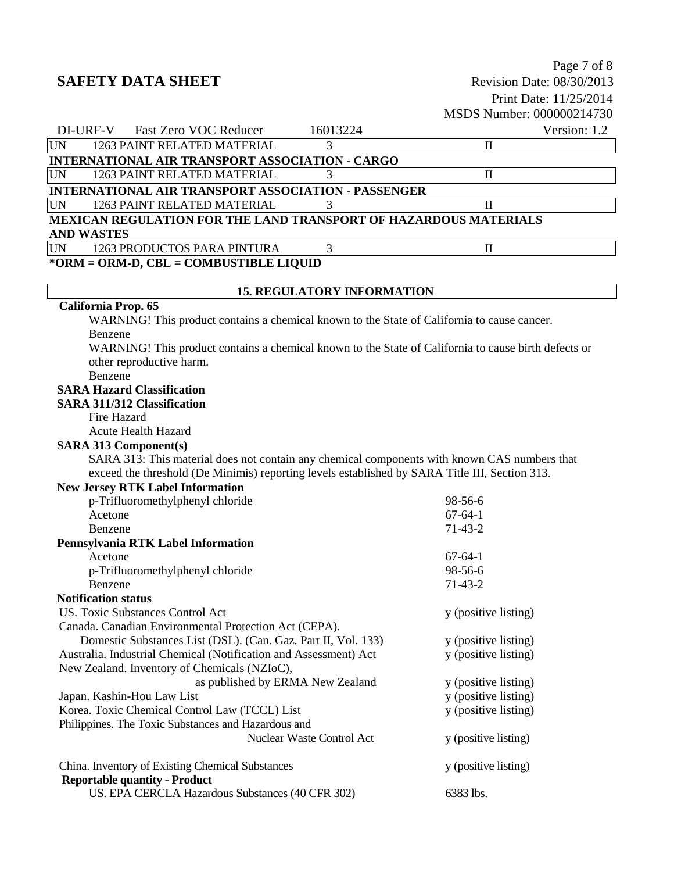## Page 7 of 8 **SAFETY DATA SHEET** Revision Date: 08/30/2013 Print Date: 11/25/2014 MSDS Number: 000000214730 DI-URF-V Fast Zero VOC Reducer 16013224 Version: 1.2 UN 1263 PAINT RELATED MATERIAL 3 **INTERNATIONAL AIR TRANSPORT ASSOCIATION - CARGO** UN 1263 PAINT RELATED MATERIAL 3 II **INTERNATIONAL AIR TRANSPORT ASSOCIATION - PASSENGER** UN 1263 PAINT RELATED MATERIAL 3 3 II **MEXICAN REGULATION FOR THE LAND TRANSPORT OF HAZARDOUS MATERIALS AND WASTES** UN 1263 PRODUCTOS PARA PINTURA 3 II **\*ORM = ORM-D, CBL = COMBUSTIBLE LIQUID 15. REGULATORY INFORMATION California Prop. 65** WARNING! This product contains a chemical known to the State of California to cause cancer. Benzene WARNING! This product contains a chemical known to the State of California to cause birth defects or other reproductive harm. Benzene **SARA Hazard Classification SARA 311/312 Classification** Fire Hazard Acute Health Hazard **SARA 313 Component(s)** SARA 313: This material does not contain any chemical components with known CAS numbers that exceed the threshold (De Minimis) reporting levels established by SARA Title III, Section 313. **New Jersey RTK Label Information** p-Trifluoromethylphenyl chloride 98-56-6 Acetone 67-64-1 Benzene 71-43-2 **Pennsylvania RTK Label Information** Acetone 67-64-1 p-Trifluoromethylphenyl chloride 98-56-6 Benzene 71-43-2 **Notification status** US. Toxic Substances Control Act y (positive listing) Canada. Canadian Environmental Protection Act (CEPA). Domestic Substances List (DSL). (Can. Gaz. Part II, Vol. 133) y (positive listing) Australia. Industrial Chemical (Notification and Assessment) Act y (positive listing) New Zealand. Inventory of Chemicals (NZIoC), as published by ERMA New Zealand  $y$  (positive listing) Japan. Kashin-Hou Law List y (positive listing) Korea. Toxic Chemical Control Law (TCCL) List y (positive listing) Philippines. The Toxic Substances and Hazardous and Nuclear Waste Control Act y (positive listing) China. Inventory of Existing Chemical Substances y (positive listing) **Reportable quantity - Product**

US. EPA CERCLA Hazardous Substances (40 CFR 302) 6383 lbs.